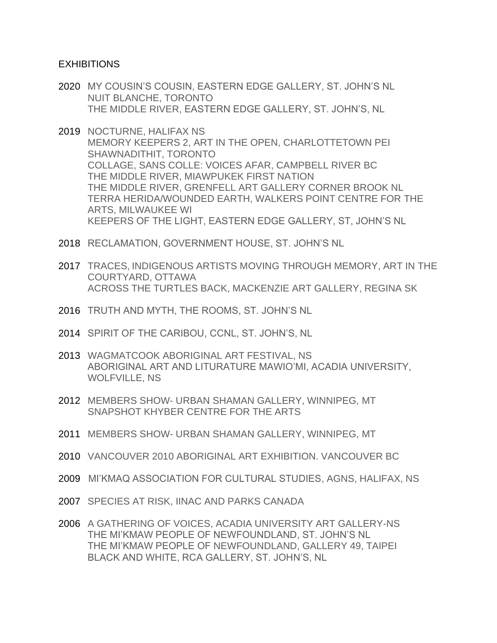## EXHIBITIONS

- 2020 MY COUSIN'S COUSIN, EASTERN EDGE GALLERY, ST. JOHN'S NL NUIT BLANCHE, TORONTO THE MIDDLE RIVER, EASTERN EDGE GALLERY, ST. JOHN'S, NL
- 2019 NOCTURNE, HALIFAX NS MEMORY KEEPERS 2, ART IN THE OPEN, CHARLOTTETOWN PEI SHAWNADITHIT, TORONTO COLLAGE, SANS COLLE: VOICES AFAR, CAMPBELL RIVER BC THE MIDDLE RIVER, MIAWPUKEK FIRST NATION THE MIDDLE RIVER, GRENFELL ART GALLERY CORNER BROOK NL TERRA HERIDA/WOUNDED EARTH, WALKERS POINT CENTRE FOR THE ARTS, MILWAUKEE WI KEEPERS OF THE LIGHT, EASTERN EDGE GALLERY, ST, JOHN'S NL
- 2018 RECLAMATION, GOVERNMENT HOUSE, ST. JOHN'S NL
- 2017 TRACES, INDIGENOUS ARTISTS MOVING THROUGH MEMORY, ART IN THE COURTYARD, OTTAWA ACROSS THE TURTLES BACK, MACKENZIE ART GALLERY, REGINA SK
- 2016 TRUTH AND MYTH, THE ROOMS, ST. JOHN'S NL
- 2014 SPIRIT OF THE CARIBOU, CCNL, ST. JOHN'S, NL
- 2013 WAGMATCOOK ABORIGINAL ART FESTIVAL, NS ABORIGINAL ART AND LITURATURE MAWIO'MI, ACADIA UNIVERSITY, WOLFVILLE, NS
- 2012 MEMBERS SHOW- URBAN SHAMAN GALLERY, WINNIPEG, MT SNAPSHOT KHYBER CENTRE FOR THE ARTS
- 2011 MEMBERS SHOW- URBAN SHAMAN GALLERY, WINNIPEG, MT
- 2010 VANCOUVER 2010 ABORIGINAL ART EXHIBITION. VANCOUVER BC
- 2009 MI'KMAQ ASSOCIATION FOR CULTURAL STUDIES, AGNS, HALIFAX, NS
- 2007 SPECIES AT RISK, IINAC AND PARKS CANADA
- 2006 A GATHERING OF VOICES, ACADIA UNIVERSITY ART GALLERY-NS THE MI'KMAW PEOPLE OF NEWFOUNDLAND, ST. JOHN'S NL THE MI'KMAW PEOPLE OF NEWFOUNDLAND, GALLERY 49, TAIPEI BLACK AND WHITE, RCA GALLERY, ST. JOHN'S, NL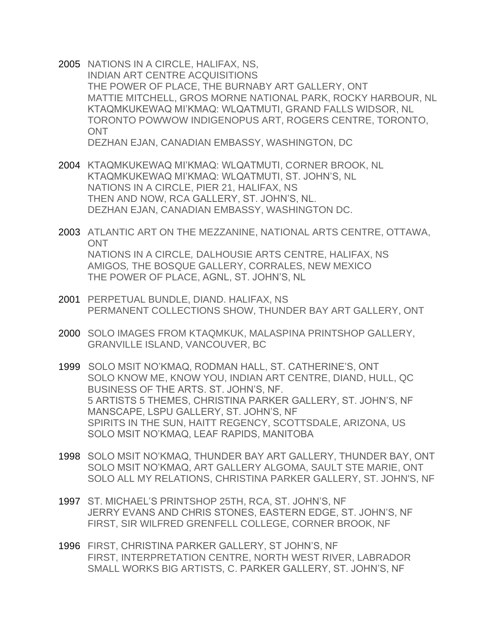- 2005 NATIONS IN A CIRCLE, HALIFAX, NS, INDIAN ART CENTRE ACQUISITIONS THE POWER OF PLACE, THE BURNABY ART GALLERY, ONT MATTIE MITCHELL, GROS MORNE NATIONAL PARK, ROCKY HARBOUR, NL KTAQMKUKEWAQ MI'KMAQ: WLQATMUTI, GRAND FALLS WIDSOR, NL TORONTO POWWOW INDIGENOPUS ART, ROGERS CENTRE, TORONTO, **ONT** DEZHAN EJAN, CANADIAN EMBASSY, WASHINGTON, DC
- 2004 KTAQMKUKEWAQ MI'KMAQ: WLQATMUTI, CORNER BROOK, NL KTAQMKUKEWAQ MI'KMAQ: WLQATMUTI, ST. JOHN'S, NL NATIONS IN A CIRCLE, PIER 21, HALIFAX, NS THEN AND NOW, RCA GALLERY, ST. JOHN'S, NL. DEZHAN EJAN, CANADIAN EMBASSY, WASHINGTON DC.
- 2003 ATLANTIC ART ON THE MEZZANINE, NATIONAL ARTS CENTRE, OTTAWA, **ONT** NATIONS IN A CIRCLE*,* DALHOUSIE ARTS CENTRE, HALIFAX, NS AMIGOS*,* THE BOSQUE GALLERY, CORRALES, NEW MEXICO THE POWER OF PLACE, AGNL, ST. JOHN'S, NL
- 2001 PERPETUAL BUNDLE, DIAND. HALIFAX, NS PERMANENT COLLECTIONS SHOW, THUNDER BAY ART GALLERY, ONT
- 2000 SOLO IMAGES FROM KTAQMKUK, MALASPINA PRINTSHOP GALLERY, GRANVILLE ISLAND, VANCOUVER, BC
- 1999 SOLO MSIT NO'KMAQ, RODMAN HALL, ST. CATHERINE'S, ONT SOLO KNOW ME, KNOW YOU, INDIAN ART CENTRE, DIAND, HULL, QC BUSINESS OF THE ARTS. ST. JOHN'S, NF. 5 ARTISTS 5 THEMES, CHRISTINA PARKER GALLERY, ST. JOHN'S, NF MANSCAPE, LSPU GALLERY, ST. JOHN'S, NF SPIRITS IN THE SUN, HAITT REGENCY, SCOTTSDALE, ARIZONA, US SOLO MSIT NO'KMAQ, LEAF RAPIDS, MANITOBA
- 1998 SOLO MSIT NO'KMAQ, THUNDER BAY ART GALLERY, THUNDER BAY, ONT SOLO MSIT NO'KMAQ, ART GALLERY ALGOMA, SAULT STE MARIE, ONT SOLO ALL MY RELATIONS, CHRISTINA PARKER GALLERY, ST. JOHN'S, NF
- 1997 ST. MICHAEL'S PRINTSHOP 25TH, RCA, ST. JOHN'S, NF JERRY EVANS AND CHRIS STONES, EASTERN EDGE, ST. JOHN'S, NF FIRST, SIR WILFRED GRENFELL COLLEGE, CORNER BROOK, NF
- 1996 FIRST, CHRISTINA PARKER GALLERY, ST JOHN'S, NF FIRST, INTERPRETATION CENTRE, NORTH WEST RIVER, LABRADOR SMALL WORKS BIG ARTISTS, C. PARKER GALLERY, ST. JOHN'S, NF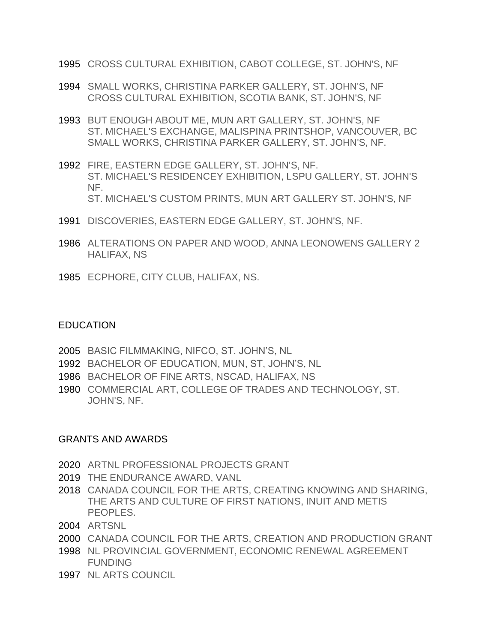- 1995 CROSS CULTURAL EXHIBITION, CABOT COLLEGE, ST. JOHN'S, NF
- 1994 SMALL WORKS, CHRISTINA PARKER GALLERY, ST. JOHN'S, NF CROSS CULTURAL EXHIBITION, SCOTIA BANK, ST. JOHN'S, NF
- 1993 BUT ENOUGH ABOUT ME, MUN ART GALLERY, ST. JOHN'S, NF ST. MICHAEL'S EXCHANGE, MALISPINA PRINTSHOP, VANCOUVER, BC SMALL WORKS, CHRISTINA PARKER GALLERY, ST. JOHN'S, NF.
- 1992 FIRE, EASTERN EDGE GALLERY, ST. JOHN'S, NF. ST. MICHAEL'S RESIDENCEY EXHIBITION, LSPU GALLERY, ST. JOHN'S NF. ST. MICHAEL'S CUSTOM PRINTS, MUN ART GALLERY ST. JOHN'S, NF
- 1991 DISCOVERIES, EASTERN EDGE GALLERY, ST. JOHN'S, NF.
- 1986 ALTERATIONS ON PAPER AND WOOD, ANNA LEONOWENS GALLERY 2 HALIFAX, NS
- 1985 ECPHORE, CITY CLUB, HALIFAX, NS.

## EDUCATION

- 2005 BASIC FILMMAKING, NIFCO, ST. JOHN'S, NL
- 1992 BACHELOR OF EDUCATION, MUN, ST, JOHN'S, NL
- 1986 BACHELOR OF FINE ARTS, NSCAD, HALIFAX, NS
- 1980 COMMERCIAL ART, COLLEGE OF TRADES AND TECHNOLOGY, ST. JOHN'S, NF.

## GRANTS AND AWARDS

- 2020 ARTNL PROFESSIONAL PROJECTS GRANT
- 2019 THE ENDURANCE AWARD, VANL
- 2018 CANADA COUNCIL FOR THE ARTS, CREATING KNOWING AND SHARING, THE ARTS AND CULTURE OF FIRST NATIONS, INUIT AND METIS PEOPLES.
- 2004 ARTSNL
- 2000 CANADA COUNCIL FOR THE ARTS, CREATION AND PRODUCTION GRANT
- 1998 NL PROVINCIAL GOVERNMENT, ECONOMIC RENEWAL AGREEMENT FUNDING
- 1997 NL ARTS COUNCIL